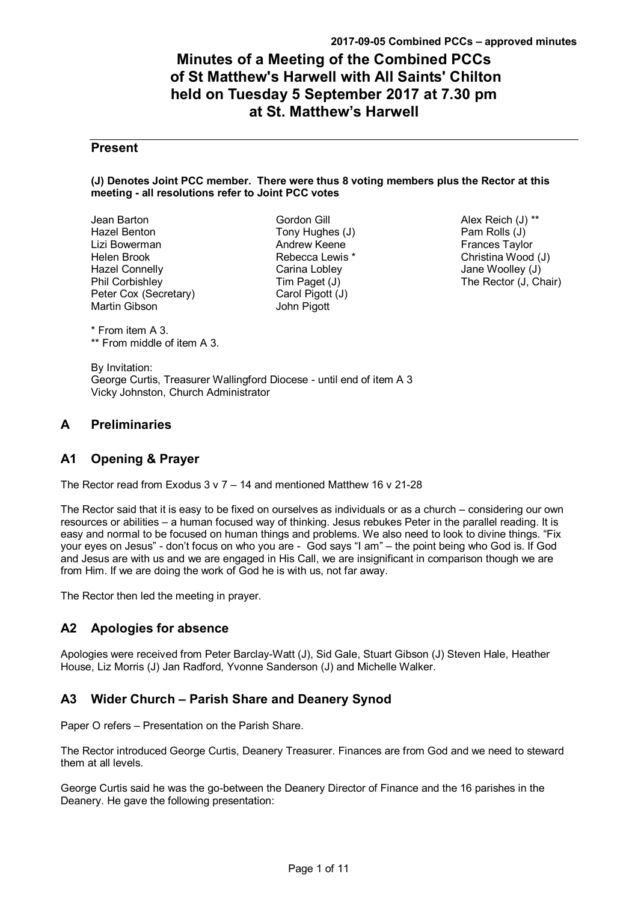# **Minutes of a Meeting of the Combined PCCs of St Matthew's Harwell with All Saints' Chilton held on Tuesday 5 September 2017 at 7.30 pm at St. Matthew's Harwell**

# **Present**

#### **(J) Denotes Joint PCC member. There were thus 8 voting members plus the Rector at this meeting - all resolutions refer to Joint PCC votes**

Jean Barton Hazel Benton Lizi Bowerman Helen Brook Hazel Connelly Phil Corbishley Peter Cox (Secretary) Martin Gibson

Gordon Gill Tony Hughes (J) Andrew Keene Rebecca Lewis \* Carina Lobley Tim Paget (J) Carol Pigott (J) John Pigott

Alex Reich (J) \*\* Pam Rolls (J) Frances Taylor Christina Wood (J) Jane Woolley (J) The Rector (J, Chair)

\* From item A 3. \*\* From middle of item A 3.

By Invitation: George Curtis, Treasurer Wallingford Diocese - until end of item A 3 Vicky Johnston, Church Administrator

# **A Preliminaries**

# **A1 Opening & Prayer**

The Rector read from Exodus 3 v 7 – 14 and mentioned Matthew 16 v 21-28

The Rector said that it is easy to be fixed on ourselves as individuals or as a church – considering our own resources or abilities – a human focused way of thinking. Jesus rebukes Peter in the parallel reading. It is easy and normal to be focused on human things and problems. We also need to look to divine things. "Fix your eyes on Jesus" - don't focus on who you are - God says "I am" – the point being who God is. If God and Jesus are with us and we are engaged in His Call, we are insignificant in comparison though we are from Him. If we are doing the work of God he is with us, not far away.

The Rector then led the meeting in prayer.

# **A2 Apologies for absence**

Apologies were received from Peter Barclay-Watt (J), Sid Gale, Stuart Gibson (J) Steven Hale, Heather House, Liz Morris (J) Jan Radford, Yvonne Sanderson (J) and Michelle Walker.

# **A3 Wider Church – Parish Share and Deanery Synod**

Paper O refers – Presentation on the Parish Share.

The Rector introduced George Curtis, Deanery Treasurer. Finances are from God and we need to steward them at all levels.

George Curtis said he was the go-between the Deanery Director of Finance and the 16 parishes in the Deanery. He gave the following presentation: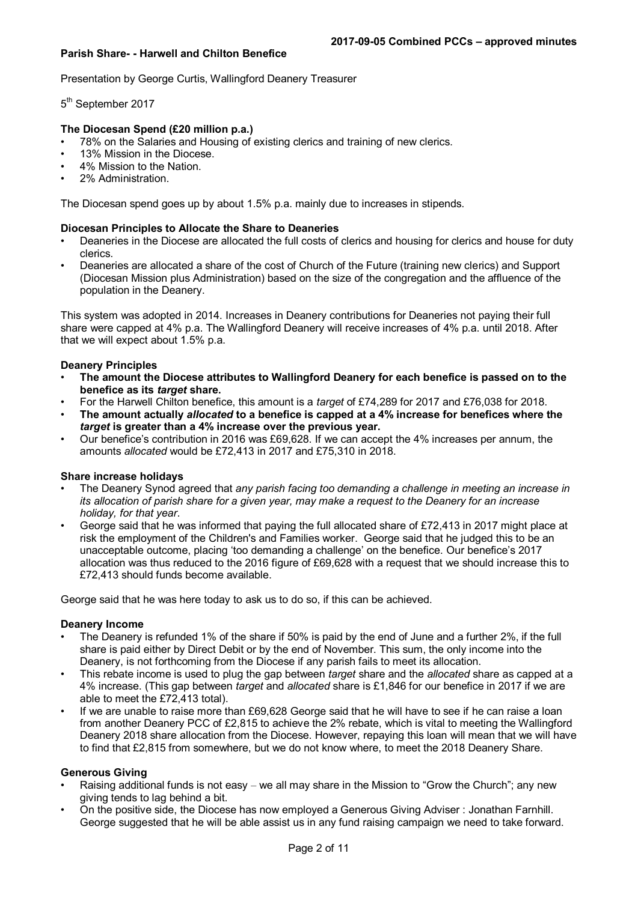#### **Parish Share- - Harwell and Chilton Benefice**

Presentation by George Curtis, Wallingford Deanery Treasurer

5<sup>th</sup> September 2017

#### **The Diocesan Spend (£20 million p.a.)**

• 78% on the Salaries and Housing of existing clerics and training of new clerics.

- 13% Mission in the Diocese.
- 4% Mission to the Nation.
- 2% Administration.

The Diocesan spend goes up by about 1.5% p.a. mainly due to increases in stipends.

#### **Diocesan Principles to Allocate the Share to Deaneries**

- Deaneries in the Diocese are allocated the full costs of clerics and housing for clerics and house for duty clerics.
- Deaneries are allocated a share of the cost of Church of the Future (training new clerics) and Support (Diocesan Mission plus Administration) based on the size of the congregation and the affluence of the population in the Deanery.

This system was adopted in 2014. Increases in Deanery contributions for Deaneries not paying their full share were capped at 4% p.a. The Wallingford Deanery will receive increases of 4% p.a. until 2018. After that we will expect about 1.5% p.a.

#### **Deanery Principles**

- **The amount the Diocese attributes to Wallingford Deanery for each benefice is passed on to the benefice as its** *target* **share.**
- For the Harwell Chilton benefice, this amount is a *target* of £74,289 for 2017 and £76,038 for 2018.
- **The amount actually** *allocated* **to a benefice is capped at a 4% increase for benefices where the**  *target* **is greater than a 4% increase over the previous year.**
- Our benefice's contribution in 2016 was £69,628. If we can accept the 4% increases per annum, the amounts *allocated* would be £72,413 in 2017 and £75,310 in 2018.

#### **Share increase holidays**

- The Deanery Synod agreed that *any parish facing too demanding a challenge in meeting an increase in its allocation of parish share for a given year, may make a request to the Deanery for an increase holiday, for that year*.
- George said that he was informed that paying the full allocated share of £72,413 in 2017 might place at risk the employment of the Children's and Families worker. George said that he judged this to be an unacceptable outcome, placing 'too demanding a challenge' on the benefice. Our benefice's 2017 allocation was thus reduced to the 2016 figure of £69,628 with a request that we should increase this to £72,413 should funds become available.

George said that he was here today to ask us to do so, if this can be achieved.

#### **Deanery Income**

- The Deanery is refunded 1% of the share if 50% is paid by the end of June and a further 2%, if the full share is paid either by Direct Debit or by the end of November. This sum, the only income into the Deanery, is not forthcoming from the Diocese if any parish fails to meet its allocation.
- This rebate income is used to plug the gap between *target* share and the *allocated* share as capped at a 4% increase. (This gap between *target* and *allocated* share is £1,846 for our benefice in 2017 if we are able to meet the £72,413 total).
- If we are unable to raise more than £69,628 George said that he will have to see if he can raise a loan from another Deanery PCC of £2,815 to achieve the 2% rebate, which is vital to meeting the Wallingford Deanery 2018 share allocation from the Diocese. However, repaying this loan will mean that we will have to find that £2,815 from somewhere, but we do not know where, to meet the 2018 Deanery Share.

#### **Generous Giving**

- Raising additional funds is not easy we all may share in the Mission to "Grow the Church"; any new giving tends to lag behind a bit.
- On the positive side, the Diocese has now employed a Generous Giving Adviser : Jonathan Farnhill. George suggested that he will be able assist us in any fund raising campaign we need to take forward.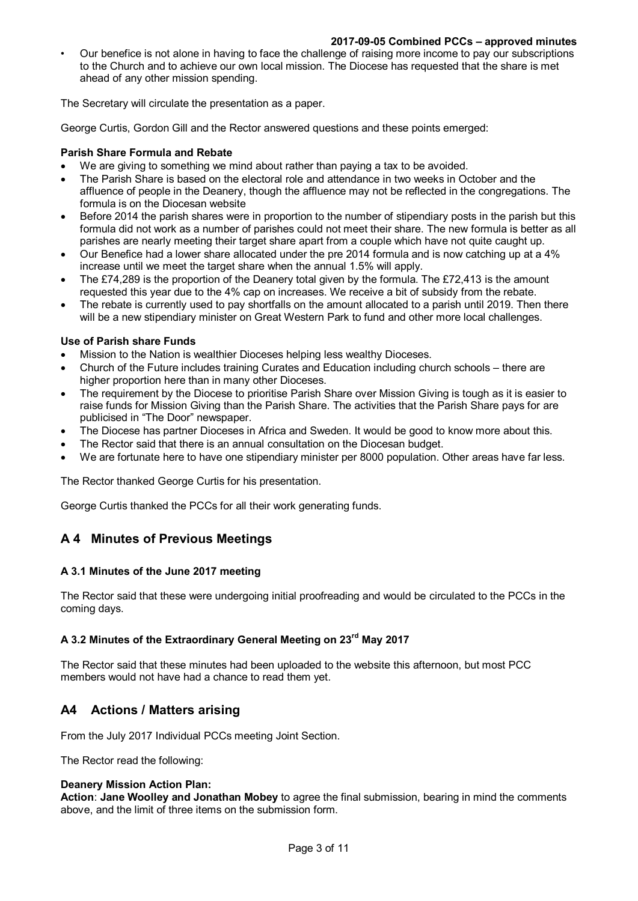• Our benefice is not alone in having to face the challenge of raising more income to pay our subscriptions to the Church and to achieve our own local mission. The Diocese has requested that the share is met ahead of any other mission spending.

The Secretary will circulate the presentation as a paper.

George Curtis, Gordon Gill and the Rector answered questions and these points emerged:

#### **Parish Share Formula and Rebate**

- We are giving to something we mind about rather than paying a tax to be avoided.
- The Parish Share is based on the electoral role and attendance in two weeks in October and the affluence of people in the Deanery, though the affluence may not be reflected in the congregations. The formula is on the Diocesan website
- Before 2014 the parish shares were in proportion to the number of stipendiary posts in the parish but this formula did not work as a number of parishes could not meet their share. The new formula is better as all parishes are nearly meeting their target share apart from a couple which have not quite caught up.
- Our Benefice had a lower share allocated under the pre 2014 formula and is now catching up at a 4% increase until we meet the target share when the annual 1.5% will apply.
- The £74,289 is the proportion of the Deanery total given by the formula. The £72,413 is the amount requested this year due to the 4% cap on increases. We receive a bit of subsidy from the rebate.
- The rebate is currently used to pay shortfalls on the amount allocated to a parish until 2019. Then there will be a new stipendiary minister on Great Western Park to fund and other more local challenges.

#### **Use of Parish share Funds**

- Mission to the Nation is wealthier Dioceses helping less wealthy Dioceses.
- Church of the Future includes training Curates and Education including church schools there are higher proportion here than in many other Dioceses.
- The requirement by the Diocese to prioritise Parish Share over Mission Giving is tough as it is easier to raise funds for Mission Giving than the Parish Share. The activities that the Parish Share pays for are publicised in "The Door" newspaper.
- The Diocese has partner Dioceses in Africa and Sweden. It would be good to know more about this.
- The Rector said that there is an annual consultation on the Diocesan budget.
- We are fortunate here to have one stipendiary minister per 8000 population. Other areas have far less.

The Rector thanked George Curtis for his presentation.

George Curtis thanked the PCCs for all their work generating funds.

# **A 4 Minutes of Previous Meetings**

## **A 3.1 Minutes of the June 2017 meeting**

The Rector said that these were undergoing initial proofreading and would be circulated to the PCCs in the coming days.

# **A 3.2 Minutes of the Extraordinary General Meeting on 23rd May 2017**

The Rector said that these minutes had been uploaded to the website this afternoon, but most PCC members would not have had a chance to read them yet.

# **A4 Actions / Matters arising**

From the July 2017 Individual PCCs meeting Joint Section.

The Rector read the following:

#### **Deanery Mission Action Plan:**

**Action**: **Jane Woolley and Jonathan Mobey** to agree the final submission, bearing in mind the comments above, and the limit of three items on the submission form.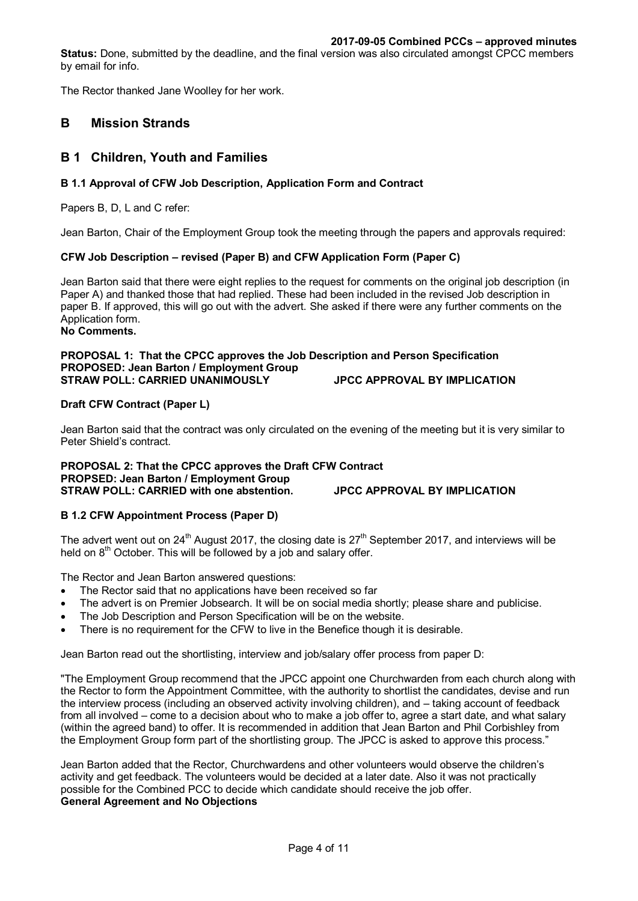**Status:** Done, submitted by the deadline, and the final version was also circulated amongst CPCC members by email for info.

The Rector thanked Jane Woolley for her work.

# **B Mission Strands**

# **B 1 Children, Youth and Families**

## **B 1.1 Approval of CFW Job Description, Application Form and Contract**

Papers B, D, L and C refer:

Jean Barton, Chair of the Employment Group took the meeting through the papers and approvals required:

## **CFW Job Description – revised (Paper B) and CFW Application Form (Paper C)**

Jean Barton said that there were eight replies to the request for comments on the original job description (in Paper A) and thanked those that had replied. These had been included in the revised Job description in paper B. If approved, this will go out with the advert. She asked if there were any further comments on the Application form. **No Comments.**

# **PROPOSAL 1: That the CPCC approves the Job Description and Person Specification PROPOSED: Jean Barton / Employment Group STRAW POLL: CARRIED UNANIMOUSLY JPCC APPROVAL BY IMPLICATION**

# **Draft CFW Contract (Paper L)**

Jean Barton said that the contract was only circulated on the evening of the meeting but it is very similar to Peter Shield's contract.

#### **PROPOSAL 2: That the CPCC approves the Draft CFW Contract PROPSED: Jean Barton / Employment Group STRAW POLL: CARRIED with one abstention. JPCC APPROVAL BY IMPLICATION**

## **B 1.2 CFW Appointment Process (Paper D)**

The advert went out on  $24<sup>th</sup>$  August 2017, the closing date is  $27<sup>th</sup>$  September 2017, and interviews will be held on  $8<sup>th</sup>$  October. This will be followed by a job and salary offer.

The Rector and Jean Barton answered questions:

- The Rector said that no applications have been received so far
- The advert is on Premier Jobsearch. It will be on social media shortly; please share and publicise.
- The Job Description and Person Specification will be on the website.
- There is no requirement for the CFW to live in the Benefice though it is desirable.

Jean Barton read out the shortlisting, interview and job/salary offer process from paper D:

"The Employment Group recommend that the JPCC appoint one Churchwarden from each church along with the Rector to form the Appointment Committee, with the authority to shortlist the candidates, devise and run the interview process (including an observed activity involving children), and – taking account of feedback from all involved – come to a decision about who to make a job offer to, agree a start date, and what salary (within the agreed band) to offer. It is recommended in addition that Jean Barton and Phil Corbishley from the Employment Group form part of the shortlisting group. The JPCC is asked to approve this process."

Jean Barton added that the Rector, Churchwardens and other volunteers would observe the children's activity and get feedback. The volunteers would be decided at a later date. Also it was not practically possible for the Combined PCC to decide which candidate should receive the job offer. **General Agreement and No Objections**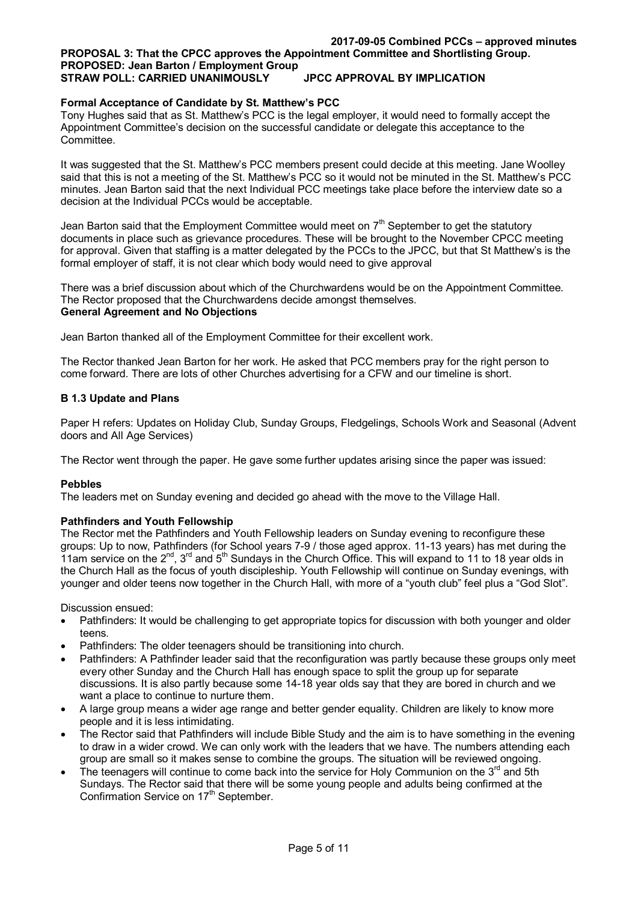#### **2017-09-05 Combined PCCs – approved minutes PROPOSAL 3: That the CPCC approves the Appointment Committee and Shortlisting Group. PROPOSED: Jean Barton / Employment Group STRAW POLL: CARRIED UNANIMOUSLY JPCC APPROVAL BY IMPLICATION**

# **Formal Acceptance of Candidate by St. Matthew's PCC**

Tony Hughes said that as St. Matthew's PCC is the legal employer, it would need to formally accept the Appointment Committee's decision on the successful candidate or delegate this acceptance to the Committee.

It was suggested that the St. Matthew's PCC members present could decide at this meeting. Jane Woolley said that this is not a meeting of the St. Matthew's PCC so it would not be minuted in the St. Matthew's PCC minutes. Jean Barton said that the next Individual PCC meetings take place before the interview date so a decision at the Individual PCCs would be acceptable.

Jean Barton said that the Employment Committee would meet on  $7<sup>th</sup>$  September to get the statutory documents in place such as grievance procedures. These will be brought to the November CPCC meeting for approval. Given that staffing is a matter delegated by the PCCs to the JPCC, but that St Matthew's is the formal employer of staff, it is not clear which body would need to give approval

There was a brief discussion about which of the Churchwardens would be on the Appointment Committee. The Rector proposed that the Churchwardens decide amongst themselves. **General Agreement and No Objections**

Jean Barton thanked all of the Employment Committee for their excellent work.

The Rector thanked Jean Barton for her work. He asked that PCC members pray for the right person to come forward. There are lots of other Churches advertising for a CFW and our timeline is short.

## **B 1.3 Update and Plans**

Paper H refers: Updates on Holiday Club, Sunday Groups, Fledgelings, Schools Work and Seasonal (Advent doors and All Age Services)

The Rector went through the paper. He gave some further updates arising since the paper was issued:

## **Pebbles**

The leaders met on Sunday evening and decided go ahead with the move to the Village Hall.

#### **Pathfinders and Youth Fellowship**

The Rector met the Pathfinders and Youth Fellowship leaders on Sunday evening to reconfigure these groups: Up to now, Pathfinders (for School years 7-9 / those aged approx. 11-13 years) has met during the 11am service on the  $2^{nd}$ ,  $3^{rd}$  and  $5^{th}$  Sundays in the Church Office. This will expand to 11 to 18 year olds in the Church Hall as the focus of youth discipleship. Youth Fellowship will continue on Sunday evenings, with younger and older teens now together in the Church Hall, with more of a "youth club" feel plus a "God Slot".

Discussion ensued:

- Pathfinders: It would be challenging to get appropriate topics for discussion with both younger and older teens.
- Pathfinders: The older teenagers should be transitioning into church.
- Pathfinders: A Pathfinder leader said that the reconfiguration was partly because these groups only meet every other Sunday and the Church Hall has enough space to split the group up for separate discussions. It is also partly because some 14-18 year olds say that they are bored in church and we want a place to continue to nurture them.
- A large group means a wider age range and better gender equality. Children are likely to know more people and it is less intimidating.
- The Rector said that Pathfinders will include Bible Study and the aim is to have something in the evening to draw in a wider crowd. We can only work with the leaders that we have. The numbers attending each group are small so it makes sense to combine the groups. The situation will be reviewed ongoing.
- The teenagers will continue to come back into the service for Holy Communion on the  $3<sup>rd</sup>$  and 5th Sundays. The Rector said that there will be some young people and adults being confirmed at the Confirmation Service on 17<sup>th</sup> September.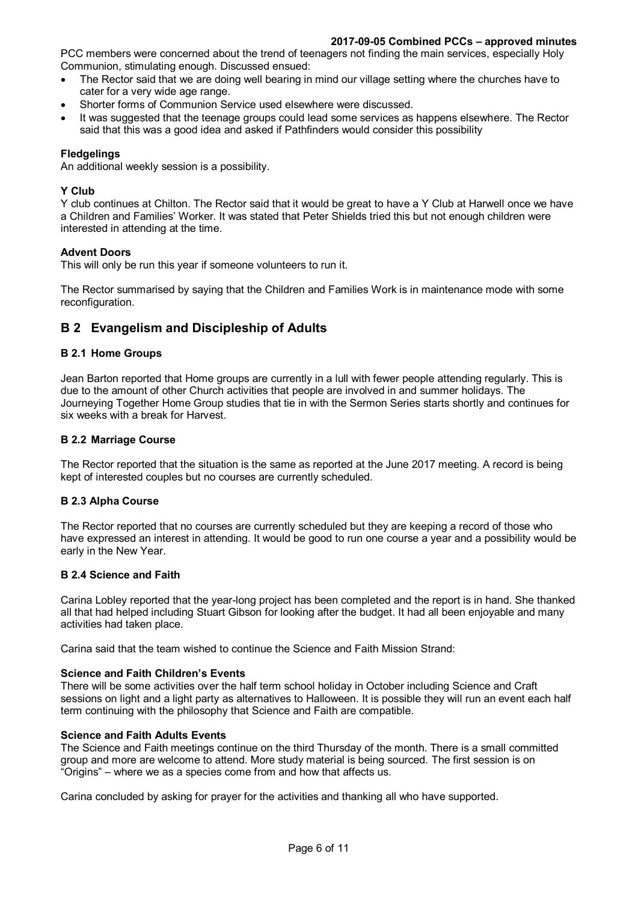PCC members were concerned about the trend of teenagers not finding the main services, especially Holy Communion, stimulating enough. Discussed ensued:

- The Rector said that we are doing well bearing in mind our village setting where the churches have to cater for a very wide age range.
- Shorter forms of Communion Service used elsewhere were discussed.
- It was suggested that the teenage groups could lead some services as happens elsewhere. The Rector said that this was a good idea and asked if Pathfinders would consider this possibility

# **Fledgelings**

An additional weekly session is a possibility.

## **Y Club**

Y club continues at Chilton. The Rector said that it would be great to have a Y Club at Harwell once we have a Children and Families' Worker. It was stated that Peter Shields tried this but not enough children were interested in attending at the time.

## **Advent Doors**

This will only be run this year if someone volunteers to run it.

The Rector summarised by saying that the Children and Families Work is in maintenance mode with some reconfiguration.

# **B 2 Evangelism and Discipleship of Adults**

## **B 2.1 Home Groups**

Jean Barton reported that Home groups are currently in a lull with fewer people attending regularly. This is due to the amount of other Church activities that people are involved in and summer holidays. The Journeying Together Home Group studies that tie in with the Sermon Series starts shortly and continues for six weeks with a break for Harvest.

## **B 2.2 Marriage Course**

The Rector reported that the situation is the same as reported at the June 2017 meeting. A record is being kept of interested couples but no courses are currently scheduled.

## **B 2.3 Alpha Course**

The Rector reported that no courses are currently scheduled but they are keeping a record of those who have expressed an interest in attending. It would be good to run one course a year and a possibility would be early in the New Year.

## **B 2.4 Science and Faith**

Carina Lobley reported that the year-long project has been completed and the report is in hand. She thanked all that had helped including Stuart Gibson for looking after the budget. It had all been enjoyable and many activities had taken place.

Carina said that the team wished to continue the Science and Faith Mission Strand:

## **Science and Faith Children's Events**

There will be some activities over the half term school holiday in October including Science and Craft sessions on light and a light party as alternatives to Halloween. It is possible they will run an event each half term continuing with the philosophy that Science and Faith are compatible.

## **Science and Faith Adults Events**

The Science and Faith meetings continue on the third Thursday of the month. There is a small committed group and more are welcome to attend. More study material is being sourced. The first session is on "Origins" – where we as a species come from and how that affects us.

Carina concluded by asking for prayer for the activities and thanking all who have supported.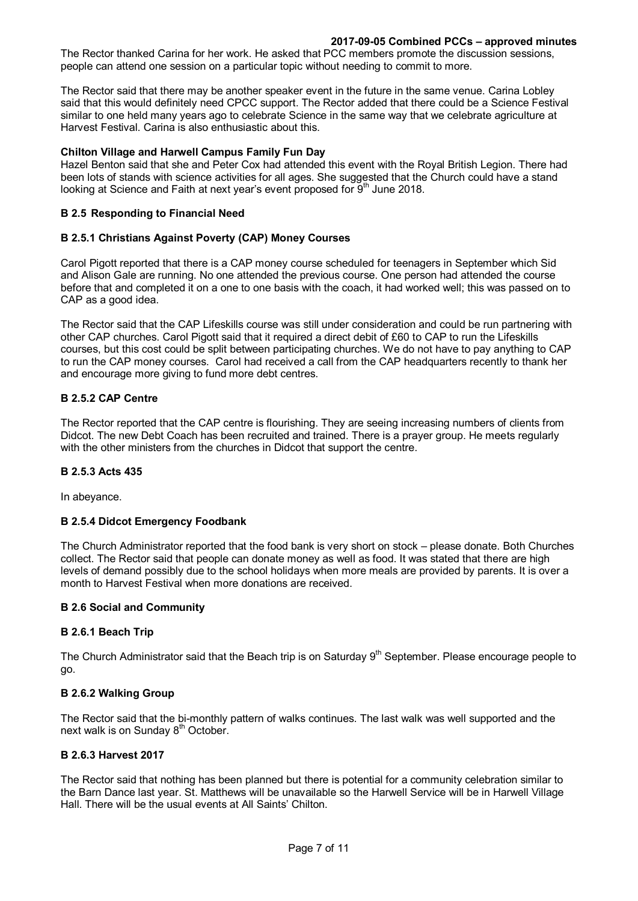The Rector thanked Carina for her work. He asked that PCC members promote the discussion sessions, people can attend one session on a particular topic without needing to commit to more.

The Rector said that there may be another speaker event in the future in the same venue. Carina Lobley said that this would definitely need CPCC support. The Rector added that there could be a Science Festival similar to one held many years ago to celebrate Science in the same way that we celebrate agriculture at Harvest Festival. Carina is also enthusiastic about this.

#### **Chilton Village and Harwell Campus Family Fun Day**

Hazel Benton said that she and Peter Cox had attended this event with the Royal British Legion. There had been lots of stands with science activities for all ages. She suggested that the Church could have a stand looking at Science and Faith at next year's event proposed for 9<sup>th</sup> June 2018.

## **B 2.5 Responding to Financial Need**

#### **B 2.5.1 Christians Against Poverty (CAP) Money Courses**

Carol Pigott reported that there is a CAP money course scheduled for teenagers in September which Sid and Alison Gale are running. No one attended the previous course. One person had attended the course before that and completed it on a one to one basis with the coach, it had worked well; this was passed on to CAP as a good idea.

The Rector said that the CAP Lifeskills course was still under consideration and could be run partnering with other CAP churches. Carol Pigott said that it required a direct debit of £60 to CAP to run the Lifeskills courses, but this cost could be split between participating churches. We do not have to pay anything to CAP to run the CAP money courses. Carol had received a call from the CAP headquarters recently to thank her and encourage more giving to fund more debt centres.

#### **B 2.5.2 CAP Centre**

The Rector reported that the CAP centre is flourishing. They are seeing increasing numbers of clients from Didcot. The new Debt Coach has been recruited and trained. There is a prayer group. He meets regularly with the other ministers from the churches in Didcot that support the centre.

## **B 2.5.3 Acts 435**

In abeyance.

#### **B 2.5.4 Didcot Emergency Foodbank**

The Church Administrator reported that the food bank is very short on stock – please donate. Both Churches collect. The Rector said that people can donate money as well as food. It was stated that there are high levels of demand possibly due to the school holidays when more meals are provided by parents. It is over a month to Harvest Festival when more donations are received.

#### **B 2.6 Social and Community**

#### **B 2.6.1 Beach Trip**

The Church Administrator said that the Beach trip is on Saturday 9<sup>th</sup> September. Please encourage people to go.

## **B 2.6.2 Walking Group**

The Rector said that the bi-monthly pattern of walks continues. The last walk was well supported and the next walk is on Sunday 8<sup>th</sup> October.

#### **B 2.6.3 Harvest 2017**

The Rector said that nothing has been planned but there is potential for a community celebration similar to the Barn Dance last year. St. Matthews will be unavailable so the Harwell Service will be in Harwell Village Hall. There will be the usual events at All Saints' Chilton.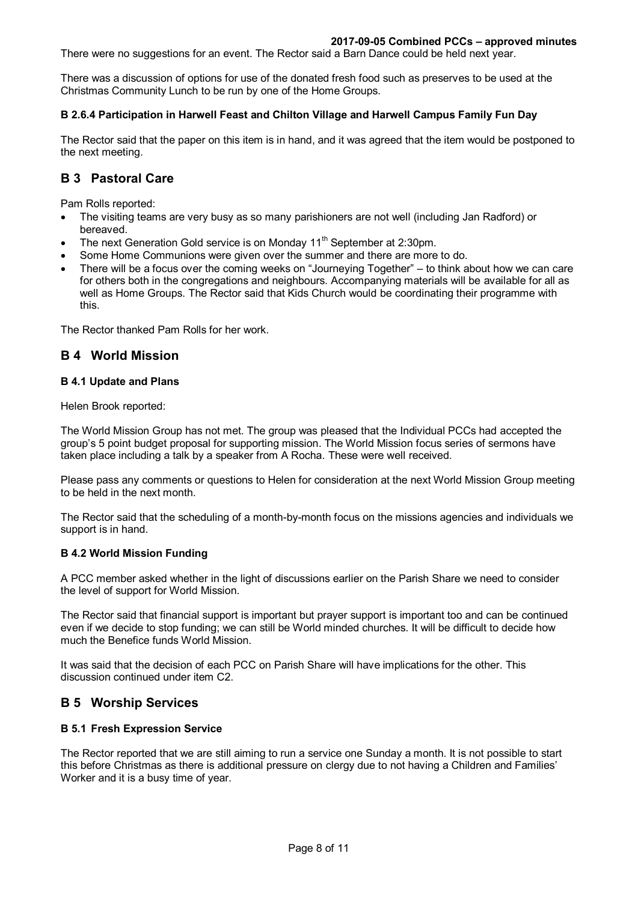There were no suggestions for an event. The Rector said a Barn Dance could be held next year.

There was a discussion of options for use of the donated fresh food such as preserves to be used at the Christmas Community Lunch to be run by one of the Home Groups.

#### **B 2.6.4 Participation in Harwell Feast and Chilton Village and Harwell Campus Family Fun Day**

The Rector said that the paper on this item is in hand, and it was agreed that the item would be postponed to the next meeting.

# **B 3 Pastoral Care**

Pam Rolls reported:

- The visiting teams are very busy as so many parishioners are not well (including Jan Radford) or bereaved.
- The next Generation Gold service is on Monday 11<sup>th</sup> September at 2:30pm.
- Some Home Communions were given over the summer and there are more to do.
- There will be a focus over the coming weeks on "Journeying Together" to think about how we can care for others both in the congregations and neighbours. Accompanying materials will be available for all as well as Home Groups. The Rector said that Kids Church would be coordinating their programme with this.

The Rector thanked Pam Rolls for her work.

# **B 4 World Mission**

#### **B 4.1 Update and Plans**

Helen Brook reported:

The World Mission Group has not met. The group was pleased that the Individual PCCs had accepted the group's 5 point budget proposal for supporting mission. The World Mission focus series of sermons have taken place including a talk by a speaker from A Rocha. These were well received.

Please pass any comments or questions to Helen for consideration at the next World Mission Group meeting to be held in the next month.

The Rector said that the scheduling of a month-by-month focus on the missions agencies and individuals we support is in hand.

## **B 4.2 World Mission Funding**

A PCC member asked whether in the light of discussions earlier on the Parish Share we need to consider the level of support for World Mission.

The Rector said that financial support is important but prayer support is important too and can be continued even if we decide to stop funding; we can still be World minded churches. It will be difficult to decide how much the Benefice funds World Mission.

It was said that the decision of each PCC on Parish Share will have implications for the other. This discussion continued under item C2.

# **B 5 Worship Services**

## **B 5.1 Fresh Expression Service**

The Rector reported that we are still aiming to run a service one Sunday a month. It is not possible to start this before Christmas as there is additional pressure on clergy due to not having a Children and Families' Worker and it is a busy time of year.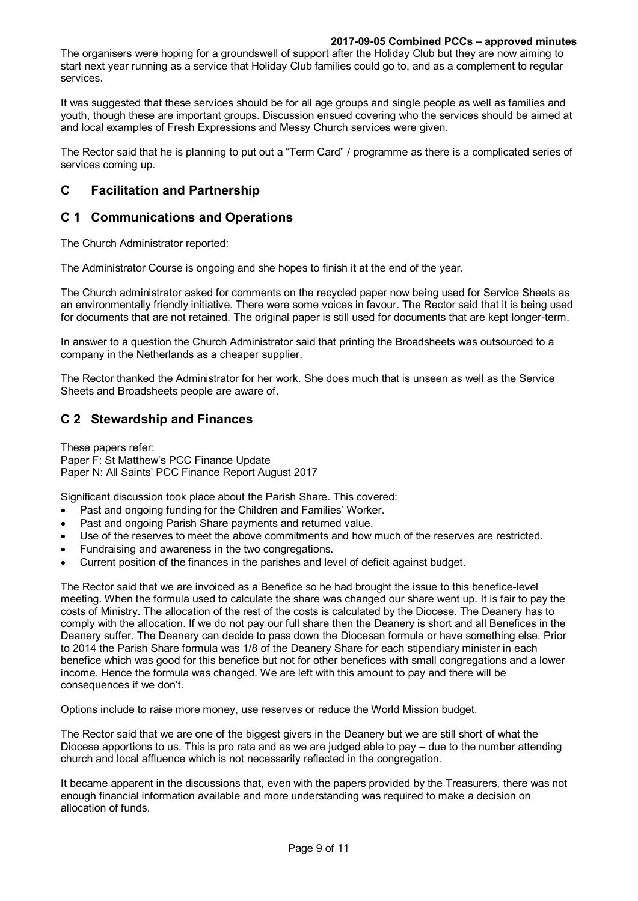The organisers were hoping for a groundswell of support after the Holiday Club but they are now aiming to start next year running as a service that Holiday Club families could go to, and as a complement to regular services.

It was suggested that these services should be for all age groups and single people as well as families and youth, though these are important groups. Discussion ensued covering who the services should be aimed at and local examples of Fresh Expressions and Messy Church services were given.

The Rector said that he is planning to put out a "Term Card" / programme as there is a complicated series of services coming up.

# **C Facilitation and Partnership**

# **C 1 Communications and Operations**

The Church Administrator reported:

The Administrator Course is ongoing and she hopes to finish it at the end of the year.

The Church administrator asked for comments on the recycled paper now being used for Service Sheets as an environmentally friendly initiative. There were some voices in favour. The Rector said that it is being used for documents that are not retained. The original paper is still used for documents that are kept longer-term.

In answer to a question the Church Administrator said that printing the Broadsheets was outsourced to a company in the Netherlands as a cheaper supplier.

The Rector thanked the Administrator for her work. She does much that is unseen as well as the Service Sheets and Broadsheets people are aware of.

# **C 2 Stewardship and Finances**

These papers refer: Paper F: St Matthew's PCC Finance Update Paper N: All Saints' PCC Finance Report August 2017

Significant discussion took place about the Parish Share. This covered:

- Past and ongoing funding for the Children and Families' Worker.
- Past and ongoing Parish Share payments and returned value.
- Use of the reserves to meet the above commitments and how much of the reserves are restricted.
- Fundraising and awareness in the two congregations.
- Current position of the finances in the parishes and level of deficit against budget.

The Rector said that we are invoiced as a Benefice so he had brought the issue to this benefice-level meeting. When the formula used to calculate the share was changed our share went up. It is fair to pay the costs of Ministry. The allocation of the rest of the costs is calculated by the Diocese. The Deanery has to comply with the allocation. If we do not pay our full share then the Deanery is short and all Benefices in the Deanery suffer. The Deanery can decide to pass down the Diocesan formula or have something else. Prior to 2014 the Parish Share formula was 1/8 of the Deanery Share for each stipendiary minister in each benefice which was good for this benefice but not for other benefices with small congregations and a lower income. Hence the formula was changed. We are left with this amount to pay and there will be consequences if we don't.

Options include to raise more money, use reserves or reduce the World Mission budget.

The Rector said that we are one of the biggest givers in the Deanery but we are still short of what the Diocese apportions to us. This is pro rata and as we are judged able to pay – due to the number attending church and local affluence which is not necessarily reflected in the congregation.

It became apparent in the discussions that, even with the papers provided by the Treasurers, there was not enough financial information available and more understanding was required to make a decision on allocation of funds.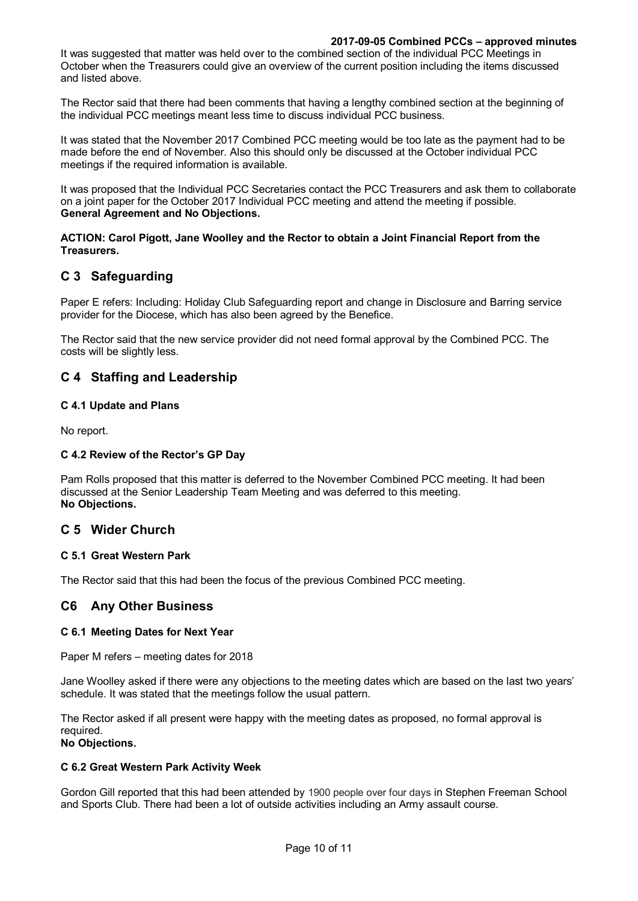It was suggested that matter was held over to the combined section of the individual PCC Meetings in October when the Treasurers could give an overview of the current position including the items discussed and listed above.

The Rector said that there had been comments that having a lengthy combined section at the beginning of the individual PCC meetings meant less time to discuss individual PCC business.

It was stated that the November 2017 Combined PCC meeting would be too late as the payment had to be made before the end of November. Also this should only be discussed at the October individual PCC meetings if the required information is available.

It was proposed that the Individual PCC Secretaries contact the PCC Treasurers and ask them to collaborate on a joint paper for the October 2017 Individual PCC meeting and attend the meeting if possible. **General Agreement and No Objections.**

#### **ACTION: Carol Pigott, Jane Woolley and the Rector to obtain a Joint Financial Report from the Treasurers.**

# **C 3 Safeguarding**

Paper E refers: Including: Holiday Club Safeguarding report and change in Disclosure and Barring service provider for the Diocese, which has also been agreed by the Benefice.

The Rector said that the new service provider did not need formal approval by the Combined PCC. The costs will be slightly less.

# **C 4 Staffing and Leadership**

## **C 4.1 Update and Plans**

No report.

## **C 4.2 Review of the Rector's GP Day**

Pam Rolls proposed that this matter is deferred to the November Combined PCC meeting. It had been discussed at the Senior Leadership Team Meeting and was deferred to this meeting. **No Objections.** 

# **C 5 Wider Church**

## **C 5.1 Great Western Park**

The Rector said that this had been the focus of the previous Combined PCC meeting.

# **C6 Any Other Business**

## **C 6.1 Meeting Dates for Next Year**

Paper M refers – meeting dates for 2018

Jane Woolley asked if there were any objections to the meeting dates which are based on the last two years' schedule. It was stated that the meetings follow the usual pattern.

The Rector asked if all present were happy with the meeting dates as proposed, no formal approval is required.

# **No Objections.**

#### **C 6.2 Great Western Park Activity Week**

Gordon Gill reported that this had been attended by 1900 people over four days in Stephen Freeman School and Sports Club. There had been a lot of outside activities including an Army assault course.